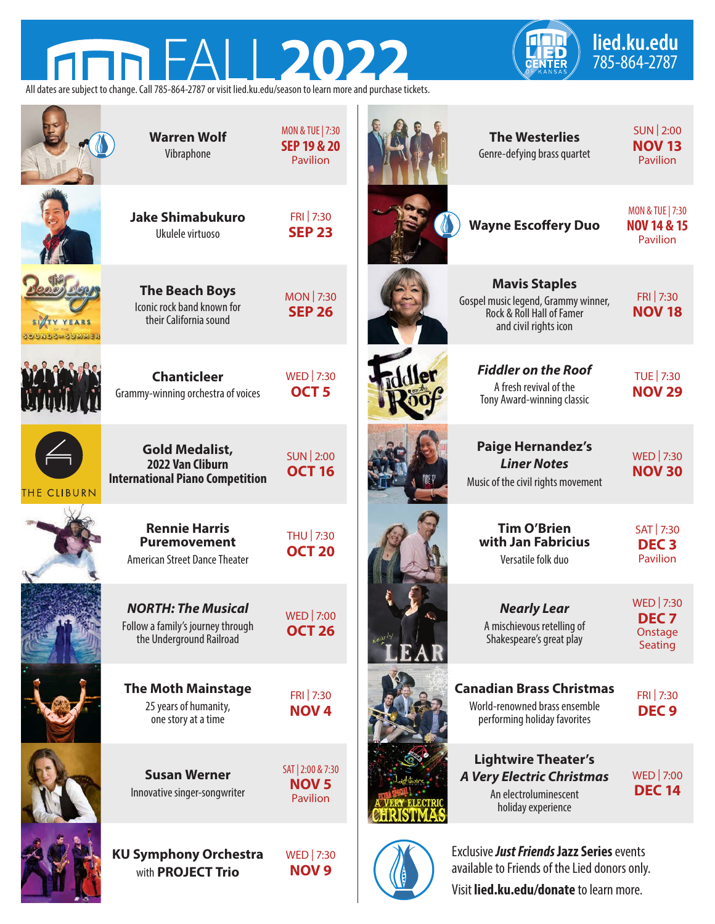## **lied.ku.edu FALL2022** *CHED* 785-864-2787 **Anh**



All dates are subject to change. Call 785-864-2787 or visit lied.ku.edu/season to learn more and purchase tickets.

|             | <b>Warren Wolf</b><br>Vibraphone                                                           | <b>MON &amp; TUE   7:30</b><br><b>SEP 19 &amp; 20</b><br>Pavilion | <b>The Westerlies</b><br>Genre-defying brass quartet                                                              | SUN 2:00<br><b>NOV 13</b><br>Pavilion                                    |
|-------------|--------------------------------------------------------------------------------------------|-------------------------------------------------------------------|-------------------------------------------------------------------------------------------------------------------|--------------------------------------------------------------------------|
|             | <b>Jake Shimabukuro</b><br>Ukulele virtuoso                                                | FRI 7:30<br><b>SEP 23</b>                                         | <b>Wayne Escoffery Duo</b>                                                                                        | <b>MON &amp; TUE   7:30</b><br><b>NOV 14 &amp; 15</b><br><b>Pavilion</b> |
|             | <b>The Beach Boys</b><br>Iconic rock band known for<br>their California sound              | <b>MON 7:30</b><br><b>SEP 26</b>                                  | <b>Mavis Staples</b><br>Gospel music legend, Grammy winner,<br>Rock & Roll Hall of Famer<br>and civil rights icon | FRI 7:30<br><b>NOV 18</b>                                                |
|             | <b>Chanticleer</b><br>Grammy-winning orchestra of voices                                   | WED 7:30<br>OCT <sub>5</sub>                                      | <b>Fiddler on the Roof</b><br>A fresh revival of the<br>Tony Award-winning classic                                | TUE 7:30<br><b>NOV 29</b>                                                |
| THE CLIBURN | <b>Gold Medalist,</b><br>2022 Van Cliburn<br><b>International Piano Competition</b>        | <b>SUN 2:00</b><br><b>OCT 16</b>                                  | <b>Paige Hernandez's</b><br><b>Liner Notes</b><br>Music of the civil rights movement                              | WED 7:30<br><b>NOV 30</b>                                                |
|             | <b>Rennie Harris</b><br><b>Puremovement</b><br>American Street Dance Theater               | THU 7:30<br><b>OCT 20</b>                                         | <b>Tim O'Brien</b><br>with Jan Fabricius<br>Versatile folk duo                                                    | SAT 7:30<br><b>DEC<sub>3</sub></b><br><b>Pavilion</b>                    |
|             | <b>NORTH: The Musical</b><br>Follow a family's journey through<br>the Underground Railroad | WED   7:00<br><b>OCT 26</b>                                       | <b>Nearly Lear</b><br>A mischievous retelling of<br>Shakespeare's great play                                      | WED 7:30<br>DEC <sub>7</sub><br>Onstage<br>Seating                       |
|             | <b>The Moth Mainstage</b><br>25 years of humanity,<br>one story at a time                  | FRI 7:30<br><b>NOV4</b>                                           | <b>Canadian Brass Christmas</b><br>World-renowned brass ensemble<br>performing holiday favorites                  | FRI 7:30<br>DEC <sub>9</sub>                                             |
|             | <b>Susan Werner</b><br>Innovative singer-songwriter                                        | SAT   2:00 & 7:30<br><b>NOV<sub>5</sub></b><br>Pavilion           | <b>Lightwire Theater's</b><br><b>A Very Electric Christmas</b><br>An electroluminescent<br>holiday experience     | WED 7:00<br><b>DEC 14</b>                                                |
|             | <b>KU Symphony Orchestra</b><br>with <b>PROJECT Trio</b>                                   | WED 7:30<br><b>NOV 9</b>                                          | Exclusive Just Friends Jazz Series events<br>available to Friends of the Lied donors only.                        |                                                                          |

Visit **lied.ku.edu/donate** to learn more.